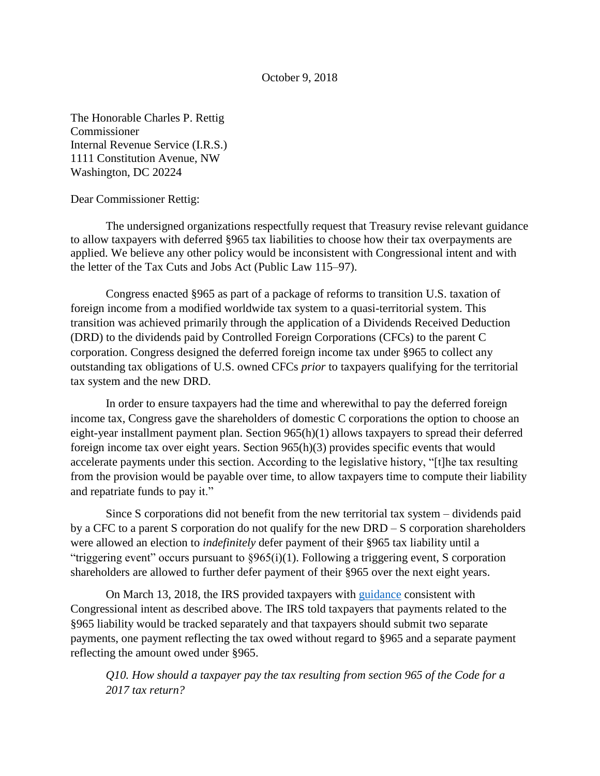October 9, 2018

The Honorable Charles P. Rettig Commissioner Internal Revenue Service (I.R.S.) 1111 Constitution Avenue, NW Washington, DC 20224

Dear Commissioner Rettig:

The undersigned organizations respectfully request that Treasury revise relevant guidance to allow taxpayers with deferred §965 tax liabilities to choose how their tax overpayments are applied. We believe any other policy would be inconsistent with Congressional intent and with the letter of the Tax Cuts and Jobs Act (Public Law 115–97).

Congress enacted §965 as part of a package of reforms to transition U.S. taxation of foreign income from a modified worldwide tax system to a quasi-territorial system. This transition was achieved primarily through the application of a Dividends Received Deduction (DRD) to the dividends paid by Controlled Foreign Corporations (CFCs) to the parent C corporation. Congress designed the deferred foreign income tax under §965 to collect any outstanding tax obligations of U.S. owned CFCs *prior* to taxpayers qualifying for the territorial tax system and the new DRD.

In order to ensure taxpayers had the time and wherewithal to pay the deferred foreign income tax, Congress gave the shareholders of domestic C corporations the option to choose an eight-year installment payment plan. Section 965(h)(1) allows taxpayers to spread their deferred foreign income tax over eight years. Section 965(h)(3) provides specific events that would accelerate payments under this section. According to the legislative history, "[t]he tax resulting from the provision would be payable over time, to allow taxpayers time to compute their liability and repatriate funds to pay it."

Since S corporations did not benefit from the new territorial tax system – dividends paid by a CFC to a parent S corporation do not qualify for the new DRD – S corporation shareholders were allowed an election to *indefinitely* defer payment of their §965 tax liability until a "triggering event" occurs pursuant to §965(i)(1). Following a triggering event, S corporation shareholders are allowed to further defer payment of their §965 over the next eight years.

On March 13, 2018, the IRS provided taxpayers with [guidance](https://www.irs.gov/newsroom/questions-and-answers-about-reporting-related-to-section-965-on-2017-tax-returns) consistent with Congressional intent as described above. The IRS told taxpayers that payments related to the §965 liability would be tracked separately and that taxpayers should submit two separate payments, one payment reflecting the tax owed without regard to §965 and a separate payment reflecting the amount owed under §965.

*Q10. How should a taxpayer pay the tax resulting from section 965 of the Code for a 2017 tax return?*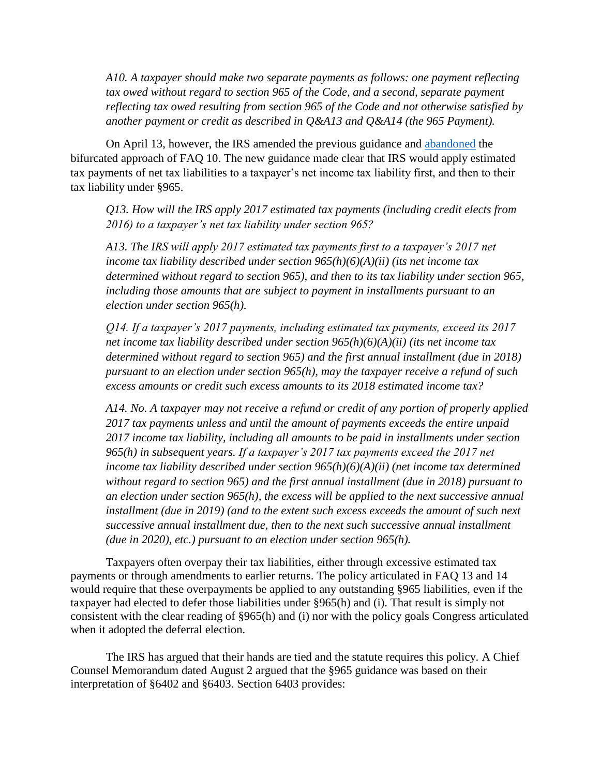*A10. A taxpayer should make two separate payments as follows: one payment reflecting*  tax owed without regard to section 965 of the Code, and a second, separate payment *reflecting tax owed resulting from section 965 of the Code and not otherwise satisfied by another payment or credit as described in Q&A13 and Q&A14 (the 965 Payment).*

On April 13, however, the IRS amended the previous guidance and [abandoned](https://www.irs.gov/newsroom/questions-and-answers-about-reporting-related-to-section-965-on-2017-tax-returns) the bifurcated approach of FAQ 10. The new guidance made clear that IRS would apply estimated tax payments of net tax liabilities to a taxpayer's net income tax liability first, and then to their tax liability under §965.

*Q13. How will the IRS apply 2017 estimated tax payments (including credit elects from 2016) to a taxpayer's net tax liability under section 965?*

*A13. The IRS will apply 2017 estimated tax payments first to a taxpayer's 2017 net income tax liability described under section 965(h)(6)(A)(ii) (its net income tax determined without regard to section 965), and then to its tax liability under section 965, including those amounts that are subject to payment in installments pursuant to an election under section 965(h).*

*Q14. If a taxpayer's 2017 payments, including estimated tax payments, exceed its 2017 net income tax liability described under section 965(h)(6)(A)(ii) (its net income tax determined without regard to section 965) and the first annual installment (due in 2018) pursuant to an election under section 965(h), may the taxpayer receive a refund of such excess amounts or credit such excess amounts to its 2018 estimated income tax?*

*A14. No. A taxpayer may not receive a refund or credit of any portion of properly applied 2017 tax payments unless and until the amount of payments exceeds the entire unpaid 2017 income tax liability, including all amounts to be paid in installments under section 965(h) in subsequent years. If a taxpayer's 2017 tax payments exceed the 2017 net income tax liability described under section 965(h)(6)(A)(ii) (net income tax determined without regard to section 965) and the first annual installment (due in 2018) pursuant to an election under section 965(h), the excess will be applied to the next successive annual installment (due in 2019) (and to the extent such excess exceeds the amount of such next successive annual installment due, then to the next such successive annual installment (due in 2020), etc.) pursuant to an election under section 965(h).*

Taxpayers often overpay their tax liabilities, either through excessive estimated tax payments or through amendments to earlier returns. The policy articulated in FAQ 13 and 14 would require that these overpayments be applied to any outstanding §965 liabilities, even if the taxpayer had elected to defer those liabilities under §965(h) and (i). That result is simply not consistent with the clear reading of §965(h) and (i) nor with the policy goals Congress articulated when it adopted the deferral election.

The IRS has argued that their hands are tied and the statute requires this policy. A Chief Counsel Memorandum dated August 2 argued that the §965 guidance was based on their interpretation of §6402 and §6403. Section 6403 provides: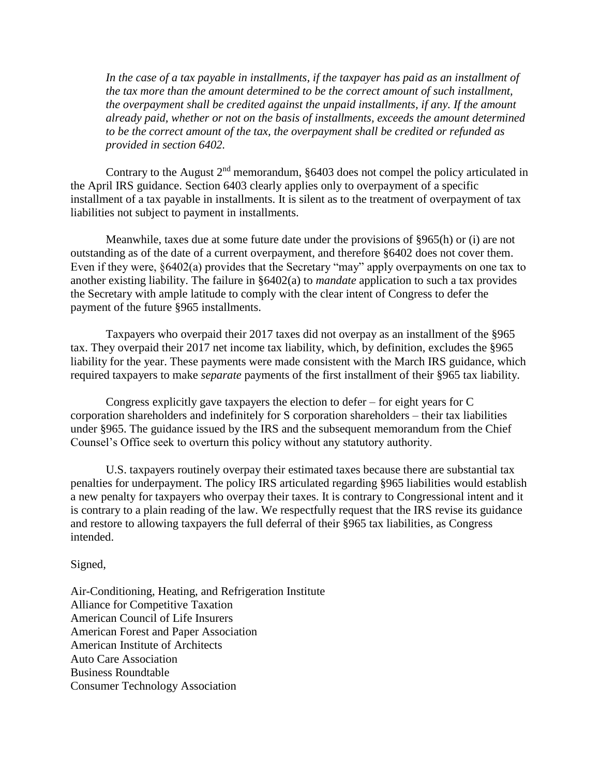*In the case of a tax payable in installments, if the taxpayer has paid as an installment of the tax more than the amount determined to be the correct amount of such installment, the overpayment shall be credited against the unpaid installments, if any. If the amount already paid, whether or not on the basis of installments, exceeds the amount determined to be the correct amount of the tax, the overpayment shall be credited or refunded as provided in section 6402.* 

Contrary to the August  $2<sup>nd</sup>$  memorandum, §6403 does not compel the policy articulated in the April IRS guidance. Section 6403 clearly applies only to overpayment of a specific installment of a tax payable in installments. It is silent as to the treatment of overpayment of tax liabilities not subject to payment in installments.

Meanwhile, taxes due at some future date under the provisions of §965(h) or (i) are not outstanding as of the date of a current overpayment, and therefore §6402 does not cover them. Even if they were, §6402(a) provides that the Secretary "may" apply overpayments on one tax to another existing liability. The failure in §6402(a) to *mandate* application to such a tax provides the Secretary with ample latitude to comply with the clear intent of Congress to defer the payment of the future §965 installments.

Taxpayers who overpaid their 2017 taxes did not overpay as an installment of the §965 tax. They overpaid their 2017 net income tax liability, which, by definition, excludes the §965 liability for the year. These payments were made consistent with the March IRS guidance, which required taxpayers to make *separate* payments of the first installment of their §965 tax liability.

Congress explicitly gave taxpayers the election to defer – for eight years for  $C$ corporation shareholders and indefinitely for S corporation shareholders – their tax liabilities under §965. The guidance issued by the IRS and the subsequent memorandum from the Chief Counsel's Office seek to overturn this policy without any statutory authority.

U.S. taxpayers routinely overpay their estimated taxes because there are substantial tax penalties for underpayment. The policy IRS articulated regarding §965 liabilities would establish a new penalty for taxpayers who overpay their taxes. It is contrary to Congressional intent and it is contrary to a plain reading of the law. We respectfully request that the IRS revise its guidance and restore to allowing taxpayers the full deferral of their §965 tax liabilities, as Congress intended.

## Signed,

Air-Conditioning, Heating, and Refrigeration Institute Alliance for Competitive Taxation American Council of Life Insurers American Forest and Paper Association American Institute of Architects Auto Care Association Business Roundtable Consumer Technology Association